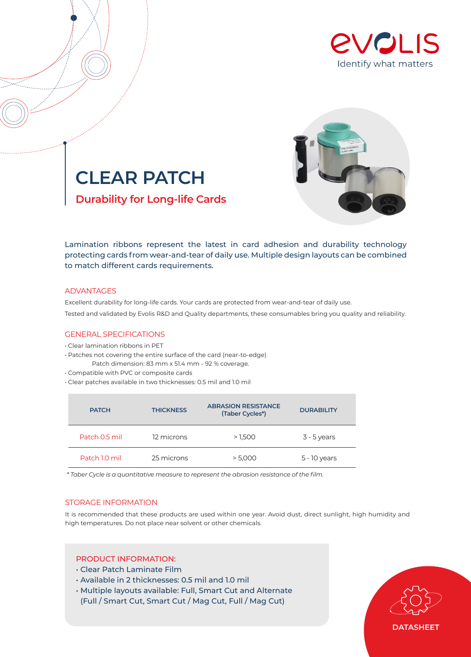



**CLEAR PATCH Durability for Long-life Cards**

Lamination ribbons represent the latest in card adhesion and durability technology protecting cards from wear-and-tear of daily use. Multiple design layouts can be combined to match different cards requirements.

## ADVANTAGES

Excellent durability for long-life cards. Your cards are protected from wear-and-tear of daily use. Tested and validated by Evolis R&D and Quality departments, these consumables bring you quality and reliability.

# GENERAL SPECIFICATIONS

- Clear lamination ribbons in PET
- Patches not covering the entire surface of the card (near-to-edge) Patch dimension: 83 mm x 51.4 mm - 92 % coverage.
- Compatible with PVC or composite cards
- Clear patches available in two thicknesses: 0.5 mil and 1.0 mil

| <b>PATCH</b>  | <b>THICKNESS</b> | <b>ABRASION RESISTANCE</b><br>(Taber Cycles*) | <b>DURABILITY</b> |  |
|---------------|------------------|-----------------------------------------------|-------------------|--|
| Patch 0.5 mil | 12 microns       | >1,500                                        | $3 - 5$ years     |  |
| Patch 1.0 mil | 25 microns       | > 5.000                                       | 5 - 10 years      |  |

*\* Taber Cycle is a quantitative measure to represent the abrasion resistance of the film.*

# STORAGE INFORMATION

It is recommended that these products are used within one year. Avoid dust, direct sunlight, high humidity and high temperatures. Do not place near solvent or other chemicals.

# PRODUCT INFORMATION:

- Clear Patch Laminate Film
- Available in 2 thicknesses: 0.5 mil and 1.0 mil
- Multiple layouts available: Full, Smart Cut and Alternate (Full / Smart Cut, Smart Cut / Mag Cut, Full / Mag Cut)